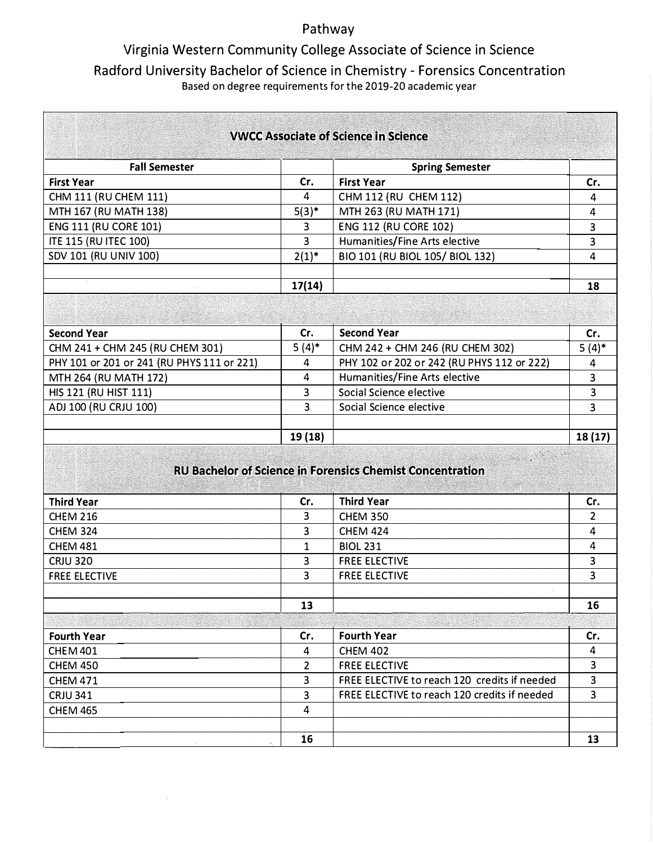## Pathway

## Virginia Western Community College Associate of Science in Science Radford University Bachelor of Science in Chemistry - Forensics Concentration Based on degree requirements for the 2019-20 academic year

|                                            |                | <b>VWCC Associate of Science in Science</b>                                                       |                |
|--------------------------------------------|----------------|---------------------------------------------------------------------------------------------------|----------------|
|                                            |                |                                                                                                   |                |
| <b>Fall Semester</b>                       |                | <b>Spring Semester</b>                                                                            |                |
| <b>First Year</b>                          | Cr.            | <b>First Year</b>                                                                                 | Cr.            |
| CHM 111 (RU CHEM 111)                      | 4              | CHM 112 (RU CHEM 112)                                                                             | 4              |
| MTH 167 (RU MATH 138)                      | $5(3)^*$       | MTH 263 (RU MATH 171)                                                                             | 4              |
| <b>ENG 111 (RU CORE 101)</b>               | 3              | <b>ENG 112 (RU CORE 102)</b>                                                                      | 3              |
| <b>ITE 115 (RU ITEC 100)</b>               | 3              | Humanities/Fine Arts elective                                                                     | 3              |
| SDV 101 (RU UNIV 100)                      | $2(1)^{*}$     | BIO 101 (RU BIOL 105/ BIOL 132)                                                                   | 4              |
|                                            | 17(14)         |                                                                                                   | 18             |
|                                            |                |                                                                                                   |                |
| <b>Second Year</b>                         | Cr.            | <b>Second Year</b>                                                                                | Cr.            |
| CHM 241 + CHM 245 (RU CHEM 301)            | $5(4)^*$       | CHM 242 + CHM 246 (RU CHEM 302)                                                                   | $5(4)$ *       |
| PHY 101 or 201 or 241 (RU PHYS 111 or 221) | 4              | PHY 102 or 202 or 242 (RU PHYS 112 or 222)                                                        | $\overline{4}$ |
| MTH 264 (RU MATH 172)                      | $\overline{4}$ | Humanities/Fine Arts elective                                                                     | 3              |
| HIS 121 (RU HIST 111)                      | 3              | Social Science elective                                                                           | 3              |
| ADJ 100 (RU CRJU 100)                      | 3              | Social Science elective                                                                           | 3              |
|                                            |                |                                                                                                   |                |
|                                            | 19 (18)        |                                                                                                   | 18(17)         |
|                                            |                | <b>TANK AND REAL PROPERTY</b><br><b>RU Bachelor of Science in Forensics Chemist Concentration</b> |                |
| <b>Third Year</b>                          | Cr.            | <b>Third Year</b>                                                                                 | Cr.            |
| <b>CHEM 216</b>                            | 3              | <b>CHEM 350</b>                                                                                   | $\overline{2}$ |
| <b>CHEM 324</b>                            | 3              | <b>CHEM 424</b>                                                                                   | 4              |
| <b>CHEM 481</b>                            | 1              | <b>BIOL 231</b>                                                                                   | 4              |
| <b>CRJU 320</b>                            | 3              | <b>FREE ELECTIVE</b>                                                                              | 3              |
| <b>FREE ELECTIVE</b>                       | 3              | <b>FREE ELECTIVE</b>                                                                              | 3              |
|                                            | 13             |                                                                                                   | 16             |
|                                            |                |                                                                                                   |                |
| <b>Fourth Year</b>                         | Cr.            | <b>Fourth Year</b>                                                                                | Cr.            |
| <b>CHEM 401</b>                            | 4              | <b>CHEM 402</b>                                                                                   | 4              |
| <b>CHEM 450</b>                            | 2              | <b>FREE ELECTIVE</b>                                                                              | $\overline{3}$ |
| <b>CHEM 471</b>                            | 3              | FREE ELECTIVE to reach 120 credits if needed                                                      | 3              |
| <b>CRJU 341</b>                            | 3              | FREE ELECTIVE to reach 120 credits if needed                                                      | 3              |
| <b>CHEM 465</b>                            | 4              |                                                                                                   |                |
|                                            |                |                                                                                                   |                |
|                                            | 16             |                                                                                                   | 13             |